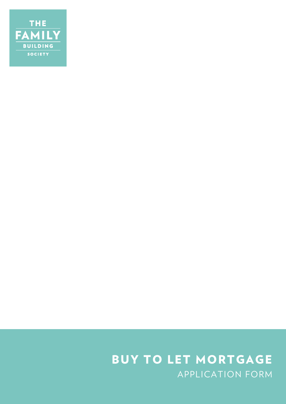

# APPLICATION FORM BUY TO LET MORTGAGE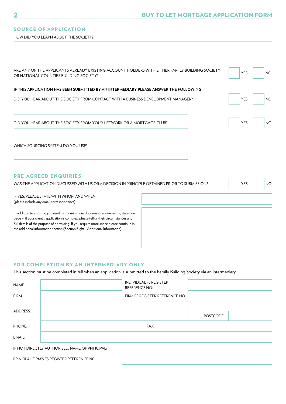## SOURCE OF APPLICATION

HOW DID YOU LEARN ABOUT THE SOCIETY?

| ARE ANY OF THE APPLICANTS ALREADY EXISTING ACCOUNT HOLDERS WITH EITHER FAMILY BUILDING SOCIETY<br>OR NATIONAL COUNTIES BUILDING SOCIETY? | <b>YES</b> | <b>NO</b> |
|------------------------------------------------------------------------------------------------------------------------------------------|------------|-----------|
| IF THIS APPLICATION HAS BEEN SUBMITTED BY AN INTERMEDIARY PLEASE ANSWER THE FOLLOWING:                                                   |            |           |
| DID YOU HEAR ABOUT THE SOCIETY FROM CONTACT WITH A BUSINESS DEVELOPMENT MANAGER?                                                         | <b>YES</b> | <b>NO</b> |
|                                                                                                                                          |            |           |
| DID YOU HEAR ABOUT THE SOCIETY FROM YOUR NETWORK OR A MORTGAGE CLUB?                                                                     | <b>YES</b> | <b>NO</b> |
| WHICH SOURCING SYSTEM DO YOU USE?                                                                                                        |            |           |
|                                                                                                                                          |            |           |
|                                                                                                                                          |            |           |
| <b>PRE-AGREED ENQUIRIES</b><br>WAS THE APPLICATION DISCUSSED WITH US OR A DECISION IN PRINCIPLE OBTAINED PRIOR TO SUBMISSION?            | <b>YES</b> | <b>NO</b> |
| IF YES, PLEASE STATE WITH WHOM AND WHEN                                                                                                  |            |           |
| (please include any email correspondence):                                                                                               |            |           |

In addition to ensuring you send us the minimum document requirements, stated on page 4, if your client's application is complex, please tell us their circumstances and full details of the purpose of borrowing. If you require more space please continue in the additional information section (Section Eight - Additional Information).

## FOR COMPLETION BY AN INTERMEDIARY ONLY

This section must be completed in full when an application is submitted to the Family Building Society via an intermediary.

| NAME:                                      |                                                | <b>INDIVIDUAL FS REGISTER</b><br><b>REFERENCE NO:</b> |      |  |           |  |
|--------------------------------------------|------------------------------------------------|-------------------------------------------------------|------|--|-----------|--|
| FIRM:                                      |                                                | FIRM FS REGISTER REFERENCE NO:                        |      |  |           |  |
| ADDRESS:                                   |                                                |                                                       |      |  | POSTCODE: |  |
| PHONE:                                     |                                                |                                                       | FAX: |  |           |  |
| EMAIL:                                     |                                                |                                                       |      |  |           |  |
|                                            | IF NOT DIRECTLY AUTHORISED, NAME OF PRINCIPAL: |                                                       |      |  |           |  |
| PRINCIPAL FIRM'S FS REGISTER REFERENCE NO: |                                                |                                                       |      |  |           |  |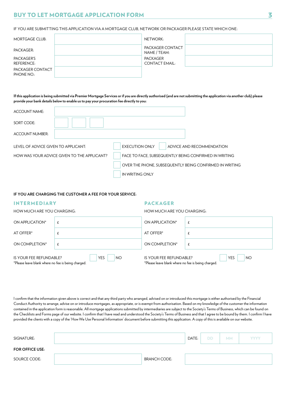IF YOU ARE SUBMITTING THIS APPLICATION VIA A MORTGAGE CLUB, NETWORK OR PACKAGER PLEASE STATE WHICH ONE:

| <b>MORTGAGE CLUB:</b>          | NETWORK:                                 |  |
|--------------------------------|------------------------------------------|--|
| PACKAGER:                      | PACKAGER CONTACT<br>NAME / TEAM:         |  |
| PACKAGER'S<br>REFERENCE:       | <b>PACKAGER</b><br><b>CONTACT EMAIL:</b> |  |
| PACKAGER CONTACT<br>PHONE NO.: |                                          |  |

**If this application is being submitted via Premier Mortgage Services or if you are directly authorised (and are not submitting the application via another club) please provide your bank details below to enable us to pay your procuration fee directly to you:**

| ACCOUNT NAME:                       |                                             |                                                         |                           |
|-------------------------------------|---------------------------------------------|---------------------------------------------------------|---------------------------|
| SORT CODE:                          |                                             |                                                         |                           |
| <b>ACCOUNT NUMBER:</b>              |                                             |                                                         |                           |
| LEVEL OF ADVICE GIVEN TO APPLICANT: |                                             | <b>EXECUTION ONLY</b>                                   | ADVICE AND RECOMMENDATION |
|                                     | HOW WAS YOUR ADVICE GIVEN TO THE APPLICANT? | FACE TO FACE, SUBSEQUENTLY BEING CONFIRMED IN WRITING   |                           |
|                                     |                                             | OVER THE PHONE, SUBSEQUENTLY BEING CONFIRMED IN WRITING |                           |
|                                     |                                             | IN WRITING ONLY                                         |                           |

#### **IF YOU ARE CHARGING THE CUSTOMER A FEE FOR YOUR SERVICE:**

#### INTERMEDIARY

## PACKAGER

| HOW MUCH ARE YOU CHARGING:                                                                               |  | HOW MUCH ARE YOU CHARGING:                                                    |                         |  |
|----------------------------------------------------------------------------------------------------------|--|-------------------------------------------------------------------------------|-------------------------|--|
| ON APPLICATION*                                                                                          |  | ON APPLICATION*                                                               |                         |  |
| AT OFFER*                                                                                                |  | AT OFFER*                                                                     |                         |  |
| ON COMPLETION*                                                                                           |  | ON COMPLETION*                                                                | £                       |  |
| <b>YES</b><br><b>NO</b><br>IS YOUR FEE REFUNDABLE?<br>*Please leave blank where no fee is being charged. |  | IS YOUR FEE REFUNDABLE?<br>*Please leave blank where no fee is being charged. | <b>YES</b><br><b>NO</b> |  |

I confirm that the information given above is correct and that any third party who arranged, advised on or introduced this mortgage is either authorised by the Financial Conduct Authority to arrange, advise on or introduce mortgages, as appropriate, or is exempt from authorisation. Based on my knowledge of the customer the information contained in the application form is reasonable. All mortgage applications submitted by intermediaries are subject to the Society's Terms of Business, which can be found on the Checklists and Forms page of our website. I confirm that I have read and understood the Society's Terms of Business and that I agree to be bound by them. I confirm I have provided the clients with a copy of the 'How We Use Personal Information' document before submitting this application. A copy of this is available on our website.

| SIGNATURE:             |                     | DATE: | <b>DD</b> | MM. | <b>YYYY</b> |
|------------------------|---------------------|-------|-----------|-----|-------------|
| <b>FOR OFFICE USE:</b> |                     |       |           |     |             |
| SOURCE CODE:           | <b>BRANCH CODE:</b> |       |           |     |             |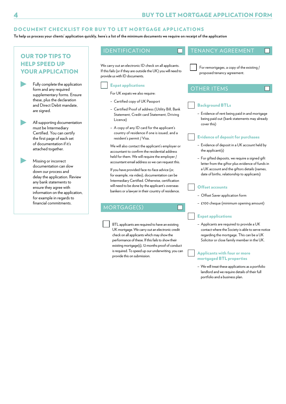## DOCUMENT CHECKLIST FOR BUY TO LET MORTGAGE APPLICATIONS

**To help us process your clients' application quickly, here's a list of the minimum documents we require on receipt of the application**

## OUR TOP TIPS TO HELP SPEED UP YOUR APPLICATION

Fully complete the application form and any required supplementary forms. Ensure these, plus the declaration and Direct Debit mandate, are signed.

All supporting documentation must be Intermediary Certified. You can certify the first page of each set of documentation if it's attached together.

> Missing or incorrect documentation can slow down our process and delay the application. Review any bank statements to ensure they agree with information on the application, for example in regards to financial commitments.

## IDENTIFICATION **TENANCY AGREEMENT**

n

 $\Box$ 

We carry out an electronic ID check on all applicants. If this fails (or if they are outside the UK) you will need to provide us with ID documents.

#### Expat applications

For UK expats we also require:

- Certified copy of UK Passport
- Certified Proof of address (Utility Bill, Bank Statement, Credit card Statement, Driving Licence)
- A copy of any ID card for the applicant's country of residence if one is issued, and a resident's permit / Visa.

 We will also contact the applicant's employer or accountant to confirm the residential address held for them. We will require the employer / accountant email address so we can request this.

 If you have provided face-to-face advice (or, for example, via video), documentation can be Intermediary Certified. Otherwise, certification will need to be done by the applicant's overseas bankers or a lawyer in their country of residence.

## MORTGAGE(S)

 BTL applicants are required to have an existing UK mortgage. We carry out an electronic credit check on all applicants which may show the performance of these. If this fails to show their existing mortgage(s), 12 months proof of conduct is required. To speed up our underwriting, you can provide this on submission.

 For remortgages, a copy of the existing / proposed tenancy agreement.

## OTHER ITEMS

### Background BTLs

– Evidence of rent being paid in and mortgage being paid out (bank statements may already cover this)

#### Evidence of deposit for purchases

- Evidence of deposit in a UK account held by the applicant(s)
- For gifted deposits, we require a signed gift letter from the giftor plus evidence of funds in a UK account and the giftors details (names, date of births, relationship to applicants)

#### Offset accounts

n

- Offset Saver application form
- £100 cheque (minimum opening amount)

#### Expat applications

– Applicants are required to provide a UK contact where the Society is able to serve notice regarding the mortgage. This can be a UK Solicitor or close family member in the UK.

 Applicants with four or more mortgaged BTL properties

– We will treat these applications as a portfolio landlord and we require details of their full portfolio and a business plan.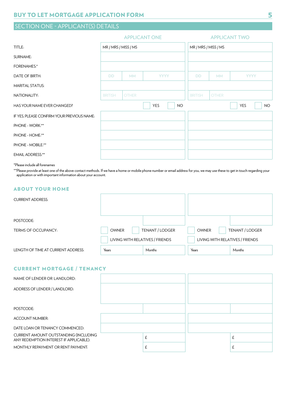## SECTION ONE - APPLICANT(S) DETAILS

|                                            | <b>APPLICANT ONE</b> |              |                  |                | <b>APPLICANT TWO</b> |             |           |
|--------------------------------------------|----------------------|--------------|------------------|----------------|----------------------|-------------|-----------|
| TITLE:                                     | MR / MRS / MISS / MS |              |                  |                | MR / MRS / MISS / MS |             |           |
| SURNAME:                                   |                      |              |                  |                |                      |             |           |
| <b>FORENAMES:*</b>                         |                      |              |                  |                |                      |             |           |
| DATE OF BIRTH:                             | <b>DD</b>            | <b>MM</b>    | <b>YYYY</b>      | <b>DD</b>      | <b>MM</b>            | <b>YYYY</b> |           |
| <b>MARITAL STATUS:</b>                     |                      |              |                  |                |                      |             |           |
| NATIONALITY:                               | <b>BRITISH</b>       | <b>OTHER</b> |                  | <b>BRITISH</b> | <b>OTHER</b>         |             |           |
| HAS YOUR NAME EVER CHANGED?                |                      |              | YES<br><b>NO</b> |                |                      | YES         | <b>NO</b> |
| IF YES, PLEASE CONFIRM YOUR PREVIOUS NAME: |                      |              |                  |                |                      |             |           |
| PHONE - WORK:**                            |                      |              |                  |                |                      |             |           |
| PHONE - HOME:**                            |                      |              |                  |                |                      |             |           |
| PHONE - MOBILE:**                          |                      |              |                  |                |                      |             |           |
| <b>EMAIL ADDRESS:**</b>                    |                      |              |                  |                |                      |             |           |

\*Please include all forenames

\*\*Please provide at least one of the above contact methods. If we have a home or mobile phone number or email address for you, we may use these to get in touch regarding your application or with important information about your account.

## ABOUT YOUR HOME

| <b>CURRENT ADDRESS:</b>            |                                 |                 |                                 |                 |
|------------------------------------|---------------------------------|-----------------|---------------------------------|-----------------|
| POSTCODE:                          |                                 |                 |                                 |                 |
| TERMS OF OCCUPANCY:                | <b>OWNER</b>                    | TENANT / LODGER | <b>OWNER</b>                    | TENANT / LODGER |
|                                    | LIVING WITH RELATIVES / FRIENDS |                 | LIVING WITH RELATIVES / FRIENDS |                 |
| LENGTH OF TIME AT CURRENT ADDRESS: | Years                           | Months          | Years                           | Months          |

## CURRENT MORTGAGE / TENANCY

| NAME OF LENDER OR LANDLORD:                                                      |   |   |
|----------------------------------------------------------------------------------|---|---|
| ADDRESS OF LENDER / LANDLORD:                                                    |   |   |
|                                                                                  |   |   |
| POSTCODE:                                                                        |   |   |
| <b>ACCOUNT NUMBER:</b>                                                           |   |   |
| DATE LOAN OR TENANCY COMMENCED:                                                  |   |   |
| CURRENT AMOUNT OUTSTANDING (INCLUDING<br>ANY REDEMPTION INTEREST IF APPLICABLE): | £ | £ |
| MONTHLY REPAYMENT OR RENT PAYMENT:                                               | £ | Ł |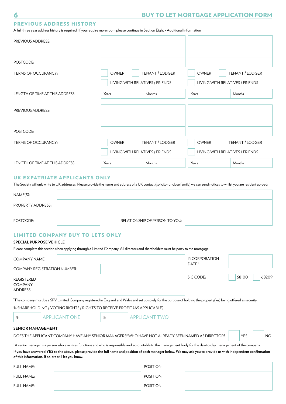## PREVIOUS ADDRESS HISTORY

A full three year address history is required. If you require more room please continue in Section Eight - Additional Information

| PREVIOUS ADDRESS:               |                                 |                 |                                 |                 |
|---------------------------------|---------------------------------|-----------------|---------------------------------|-----------------|
| POSTCODE:                       |                                 |                 |                                 |                 |
| <b>TERMS OF OCCUPANCY:</b>      | <b>OWNER</b>                    | TENANT / LODGER | <b>OWNER</b>                    | TENANT / LODGER |
|                                 | LIVING WITH RELATIVES / FRIENDS |                 | LIVING WITH RELATIVES / FRIENDS |                 |
| LENGTH OF TIME AT THIS ADDRESS: | Years                           | Months          | Years                           | Months          |
| <b>PREVIOUS ADDRESS:</b>        |                                 |                 |                                 |                 |
| POSTCODE:                       |                                 |                 |                                 |                 |
| TERMS OF OCCUPANCY:             | <b>OWNER</b>                    | TENANT / LODGER | <b>OWNER</b>                    | TENANT / LODGER |
|                                 | LIVING WITH RELATIVES / FRIENDS |                 | LIVING WITH RELATIVES / FRIENDS |                 |
| LENGTH OF TIME AT THIS ADDRESS: | Years                           | Months          | Years                           | Months          |

## UK EXPATRIATE APPLICANTS ONLY

The Society will only write to UK addresses. Please provide the name and address of a UK contact (solicitor or close family) we can send notices to whilst you are resident abroad:

| NAME(S):          |                                |
|-------------------|--------------------------------|
| PROPERTY ADDRESS: |                                |
| POSTCODE:         | RELATIONSHIP OF PERSON TO YOU: |

## LIMITED COMPANY BUY TO LETS ONLY

#### **SPECIAL PURPOSE VEHICLE**

Please complete this section when applying through a Limited Company. All directors and shareholders must be party to the mortgage.

| <b>COMPANY NAME:</b>                            |  | <b>INCORPORATION</b> |           |                |
|-------------------------------------------------|--|----------------------|-----------|----------------|
| <b>COMPANY REGISTRATION NUMBER:</b>             |  |                      | $DATE1$ : |                |
| <b>REGISTERED</b><br><b>COMPANY</b><br>ADDRESS: |  |                      | SIC CODE: | 68100<br>68209 |

1 The company must be a SPV Limited Company registered in England and Wales and set up solely for the purpose of holding the property(ies) being offered as security.

## % SHAREHOLDING / VOTING RIGHTS / RIGHTS TO RECEIVE PROFIT (AS APPLICABLE)

| ×<br>$\sim$ |
|-------------|

APPLICANT ONE  $\parallel$  % | APPLICANT TWO

#### **SENIOR MANAGEMENT**

DOES THE APPLICANT COMPANY HAVE ANY SENIOR MANAGERS<sup>2</sup> WHO HAVE NOT ALREADY BEEN NAMED AS DIRECTOR?  $\vert \qquad \vert$  YES  $\vert \qquad \vert$  NO

2 A senior manager is a person who exercises functions and who is responsible and accountable to the management body for the day-to-day management of the company. **If you have answered YES to the above, please provide the full name and position of each manager below. We may ask you to provide us with independent confirmation** 

**of this information. If so, we will let you know.**

| FULL NAME: | POSITION: |
|------------|-----------|
| FULL NAME: | POSITION: |
| FULL NAME: | POSITION: |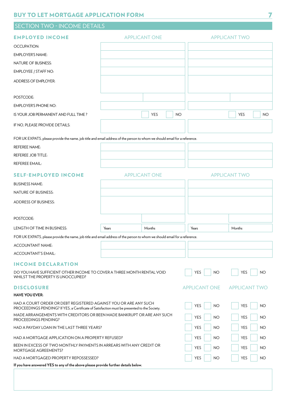## SECTION TWO - INCOME DETAILS

| <b>EMPLOYED INCOME</b>                                                                                                                                           | <b>APPLICANT ONE</b>                                                                                                         |                      |           | <b>APPLICANT TWO</b>    |                         |  |  |
|------------------------------------------------------------------------------------------------------------------------------------------------------------------|------------------------------------------------------------------------------------------------------------------------------|----------------------|-----------|-------------------------|-------------------------|--|--|
| OCCUPATION:                                                                                                                                                      |                                                                                                                              |                      |           |                         |                         |  |  |
| <b>EMPLOYER'S NAME:</b>                                                                                                                                          |                                                                                                                              |                      |           |                         |                         |  |  |
| <b>NATURE OF BUSINESS:</b>                                                                                                                                       |                                                                                                                              |                      |           |                         |                         |  |  |
| EMPLOYEE / STAFF NO:                                                                                                                                             |                                                                                                                              |                      |           |                         |                         |  |  |
| <b>ADDRESS OF EMPLOYER:</b>                                                                                                                                      |                                                                                                                              |                      |           |                         |                         |  |  |
| POSTCODE:                                                                                                                                                        |                                                                                                                              |                      |           |                         |                         |  |  |
| <b>EMPLOYER'S PHONE NO:</b>                                                                                                                                      |                                                                                                                              |                      |           |                         |                         |  |  |
| IS YOUR JOB PERMANENT AND FULL TIME?                                                                                                                             |                                                                                                                              | YES                  | <b>NO</b> |                         | <b>YES</b><br>NO        |  |  |
| IF NO, PLEASE PROVIDE DETAILS:                                                                                                                                   |                                                                                                                              |                      |           |                         |                         |  |  |
| FOR UK EXPATS, please provide the name, job title and email address of the person to whom we should email for a reference.                                       |                                                                                                                              |                      |           |                         |                         |  |  |
| <b>REFEREE NAME:</b>                                                                                                                                             |                                                                                                                              |                      |           |                         |                         |  |  |
| <b>REFEREE JOB TITLE:</b>                                                                                                                                        |                                                                                                                              |                      |           |                         |                         |  |  |
| REFEREE EMAIL:                                                                                                                                                   |                                                                                                                              |                      |           |                         |                         |  |  |
| <b>SELF-EMPLOYED INCOME</b>                                                                                                                                      |                                                                                                                              | <b>APPLICANT ONE</b> |           |                         | <b>APPLICANT TWO</b>    |  |  |
| <b>BUSINESS NAME:</b>                                                                                                                                            |                                                                                                                              |                      |           |                         |                         |  |  |
| NATURE OF BUSINESS:                                                                                                                                              |                                                                                                                              |                      |           |                         |                         |  |  |
| <b>ADDRESS OF BUSINESS:</b>                                                                                                                                      |                                                                                                                              |                      |           |                         |                         |  |  |
| POSTCODE:                                                                                                                                                        |                                                                                                                              |                      |           |                         |                         |  |  |
| LENGTH OF TIME IN BUSINESS:                                                                                                                                      | Years                                                                                                                        | Months               |           | Years                   | Months                  |  |  |
| FOR UK EXPATS, please provide the name, job title and email address of the person to whom we should email for a reference.                                       |                                                                                                                              |                      |           |                         |                         |  |  |
| <b>ACCOUNTANT NAME:</b>                                                                                                                                          |                                                                                                                              |                      |           |                         |                         |  |  |
| <b>ACCOUNTANT'S EMAIL:</b>                                                                                                                                       |                                                                                                                              |                      |           |                         |                         |  |  |
| <b>INCOME DECLARATION</b>                                                                                                                                        |                                                                                                                              |                      |           |                         |                         |  |  |
| DO YOU HAVE SUFFICIENT OTHER INCOME TO COVER A THREE MONTH RENTAL VOID<br>WHILST THE PROPERTY IS UNOCCUPIED?                                                     |                                                                                                                              |                      |           | <b>YES</b><br><b>NO</b> | <b>YES</b><br><b>NO</b> |  |  |
| <b>DISCLOSURE</b>                                                                                                                                                |                                                                                                                              |                      |           | <b>APPLICANT ONE</b>    | <b>APPLICANT TWO</b>    |  |  |
| <b>HAVE YOU EVER:</b>                                                                                                                                            |                                                                                                                              |                      |           |                         |                         |  |  |
| HAD A COURT ORDER OR DEBT REGISTERED AGAINST YOU OR ARE ANY SUCH<br>PROCEEDINGS PENDING? If YES, a Certificate of Satisfaction must be presented to the Society. |                                                                                                                              |                      |           | <b>YES</b><br><b>NO</b> | <b>YES</b><br><b>NO</b> |  |  |
| PROCEEDINGS PENDING?                                                                                                                                             | MADE ARRANGEMENTS WITH CREDITORS OR BEEN MADE BANKRUPT OR ARE ANY SUCH<br><b>YES</b><br><b>YES</b><br><b>NO</b><br><b>NO</b> |                      |           |                         |                         |  |  |
| HAD A PAYDAY LOAN IN THE LAST THREE YEARS?                                                                                                                       |                                                                                                                              |                      |           | <b>YES</b><br><b>NO</b> | <b>YES</b><br>NO        |  |  |
| HAD A MORTGAGE APPLICATION ON A PROPERTY REFUSED?                                                                                                                |                                                                                                                              |                      |           | <b>YES</b><br>NO        | <b>YES</b><br><b>NO</b> |  |  |
| BEEN IN EXCESS OF TWO MONTHLY PAYMENTS IN ARREARS WITH ANY CREDIT OR<br><b>YES</b><br>MORTGAGE AGREEMENTS?                                                       |                                                                                                                              |                      |           |                         | YES<br>NO               |  |  |
| HAD A MORTGAGED PROPERTY REPOSSESSED?                                                                                                                            |                                                                                                                              |                      |           | <b>YES</b><br>NO        | <b>YES</b><br><b>NO</b> |  |  |
| If you have answered YES to any of the above please provide further details below.                                                                               |                                                                                                                              |                      |           |                         |                         |  |  |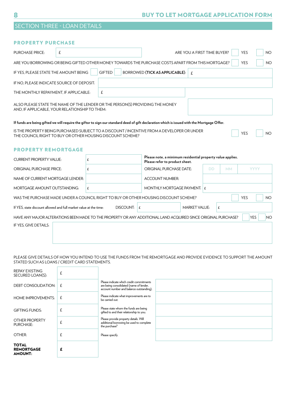| <b>SECTION THREE - LOAN DETAILS</b> |  |
|-------------------------------------|--|
|                                     |  |

| <b>PROPERTY PURCHASE</b>                                                                                                                                  |                                                                                                                                          |   |               |                  |                                                                                              |                      |  |            |             |           |           |
|-----------------------------------------------------------------------------------------------------------------------------------------------------------|------------------------------------------------------------------------------------------------------------------------------------------|---|---------------|------------------|----------------------------------------------------------------------------------------------|----------------------|--|------------|-------------|-----------|-----------|
| <b>PURCHASE PRICE:</b>                                                                                                                                    | £                                                                                                                                        |   |               |                  | ARE YOU A FIRST TIME BUYER?                                                                  |                      |  | <b>YES</b> |             | <b>NO</b> |           |
| ARE YOU BORROWING OR BEING GIFTED OTHER MONEY TOWARDS THE PURCHASE COSTS APART FROM THIS MORTGAGE?                                                        |                                                                                                                                          |   |               |                  |                                                                                              |                      |  |            | <b>YES</b>  |           | <b>NO</b> |
| IF YES, PLEASE STATE THE AMOUNT BEING                                                                                                                     |                                                                                                                                          |   | <b>GIFTED</b> |                  | <b>BORROWED (TICK AS APPLICABLE):</b>                                                        | $\mathbf{f}$         |  |            |             |           |           |
| IF NO, PLEASE INDICATE SOURCE OF DEPOSIT:                                                                                                                 |                                                                                                                                          |   |               |                  |                                                                                              |                      |  |            |             |           |           |
| THE MONTHLY REPAYMENT, IF APPLICABLE:                                                                                                                     |                                                                                                                                          |   | £             |                  |                                                                                              |                      |  |            |             |           |           |
| ALSO PLEASE STATE THE NAME OF THE LENDER OR THE PERSON(S) PROVIDING THE MONEY<br>AND, IF APPLICABLE, YOUR RELATIONSHIP TO THEM:                           |                                                                                                                                          |   |               |                  |                                                                                              |                      |  |            |             |           |           |
| If funds are being gifted we will require the giftor to sign our standard deed of gift declaration which is issued with the Mortgage Offer.               |                                                                                                                                          |   |               |                  |                                                                                              |                      |  |            |             |           |           |
| IS THE PROPERTY BEING PURCHASED SUBJECT TO A DISCOUNT / INCENTIVE FROM A DEVELOPER OR UNDER<br>THE COUNCIL RIGHT TO BUY OR OTHER HOUSING DISCOUNT SCHEME? |                                                                                                                                          |   |               |                  |                                                                                              |                      |  |            | <b>YES</b>  |           | <b>NO</b> |
| <b>PROPERTY REMORTGAGE</b>                                                                                                                                |                                                                                                                                          |   |               |                  |                                                                                              |                      |  |            |             |           |           |
| <b>CURRENT PROPERTY VALUE:</b>                                                                                                                            |                                                                                                                                          | £ |               |                  | Please note, a minimum residential property value applies.<br>Please refer to product sheet. |                      |  |            |             |           |           |
| <b>ORIGINAL PURCHASE PRICE:</b>                                                                                                                           |                                                                                                                                          | £ |               |                  | <b>ORIGINAL PURCHASE DATE:</b><br><b>DD</b><br><b>MM</b>                                     |                      |  |            | <b>YYYY</b> |           |           |
| NAME OF CURRENT MORTGAGE LENDER:                                                                                                                          |                                                                                                                                          |   |               |                  | <b>ACCOUNT NUMBER:</b>                                                                       |                      |  |            |             |           |           |
| MORTGAGE AMOUNT OUTSTANDING:                                                                                                                              |                                                                                                                                          | £ |               |                  | MONTHLY MORTGAGE PAYMENT: $E$                                                                |                      |  |            |             |           |           |
|                                                                                                                                                           | WAS THE PURCHASE MADE UNDER A COUNCIL RIGHT TO BUY OR OTHER HOUSING DISCOUNT SCHEME?<br><b>YES</b><br>NO.                                |   |               |                  |                                                                                              |                      |  |            |             |           |           |
| If YES, state discount allowed and full market value at the time:                                                                                         |                                                                                                                                          |   |               | DISCOUNT:<br>l £ |                                                                                              | <b>MARKET VALUE:</b> |  | £          |             |           |           |
|                                                                                                                                                           | <b>YES</b><br><b>NO</b><br>HAVE ANY MAJOR ALTERATIONS BEEN MADE TO THE PROPERTY OR ANY ADDITIONAL LAND ACQUIRED SINCE ORIGINAL PURCHASE? |   |               |                  |                                                                                              |                      |  |            |             |           |           |
| IF YES, GIVE DETAILS:                                                                                                                                     |                                                                                                                                          |   |               |                  |                                                                                              |                      |  |            |             |           |           |
|                                                                                                                                                           |                                                                                                                                          |   |               |                  |                                                                                              |                      |  |            |             |           |           |

PLEASE GIVE DETAILS OF HOW YOU INTEND TO USE THE FUNDS FROM THE REMORTGAGE AND PROVIDE EVIDENCE TO SUPPORT THE AMOUNT STATED SUCH AS LOANS / CREDIT CARD STATEMENTS.

| <b>REPAY EXISTING</b><br>SECURED LOAN(S):           | £            |                                                                                                                                 |  |
|-----------------------------------------------------|--------------|---------------------------------------------------------------------------------------------------------------------------------|--|
| <b>DEBT CONSOLIDATION:</b>                          | $\mathsf{f}$ | Please indicate which credit commitments<br>are being consolidated (name of lender,<br>account number and balance outstanding). |  |
| <b>HOME IMPROVEMENTS:</b>                           | £            | Please indicate what improvements are to<br>be carried out.                                                                     |  |
| <b>GIFTING FUNDS:</b>                               | £            | Please state whom the funds are being<br>gifted to and their relationship to you.                                               |  |
| OTHER PROPERTY<br>PURCHASE:                         | £            | Please provide property details. Will<br>additional borrowing be used to complete<br>the purchase?                              |  |
| OTHER:                                              | £            | Please specify.                                                                                                                 |  |
| <b>TOTAL</b><br><b>REMORTGAGE</b><br><b>AMOUNT:</b> | £            |                                                                                                                                 |  |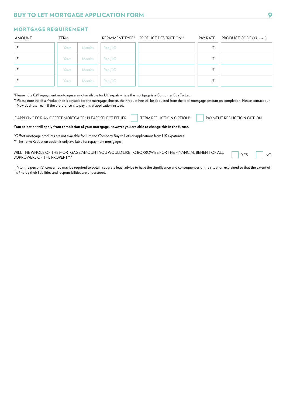## MORTGAGE REQUIREMENT

| <b>AMOUNT</b> | <b>TERM</b> |        |          | REPAYMENT TYPE* PRODUCT DESCRIPTION** | PAY RATE | PRODUCT CODE (if known) |
|---------------|-------------|--------|----------|---------------------------------------|----------|-------------------------|
|               | Years       | Months | Rep / IO |                                       | %        |                         |
|               | Years       | Months | Rep / IO |                                       | %        |                         |
|               | Years       | Months | Rep / IO |                                       | %        |                         |
|               | Years       | Months | Rep / IO |                                       | %        |                         |

\*Please note C&I repayment mortgages are not available for UK expats where the mortgage is a Consumer Buy To Let.

\*\*Please note that if a Product Fee is payable for the mortgage chosen, the Product Fee will be deducted from the total mortgage amount on completion. Please contact our New Business Team if the preference is to pay this at application instead.

IF APPLYING FOR AN OFFSET MORTGAGE\* PLEASE SELECT EITHER: THERM REDUCTION OPTION\*\* PAYMENT REDUCTION OPTION

#### **Your selection will apply from completion of your mortgage, however you are able to change this in the future.**

\*Offset mortgage products are not available for Limited Company Buy to Lets or applications from UK expatriates

\*\*The Term Reduction option is only available for repayment mortgages

WILL THE WHOLE OF THE MORTGAGE AMOUNT YOU WOULD LIKE TO BORROW BE FOR THE FINANCIAL BENEFIT OF ALL YES TO NO<br>BORROWERS OF THE PROPERTY?

If NO, the person(s) concerned may be required to obtain separate legal advice to have the significance and consequences of the situation explained so that the extent of his / hers / their liabilities and responsibilities are understood.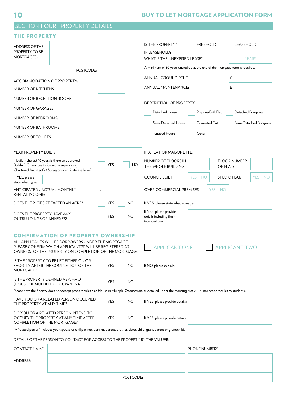|                                                                                                     | <b>SECTION FOUR - PROPERTY DETAILS</b>                                                                                                                                     |            |           |                                                                              |                         |                         |                      |                        |
|-----------------------------------------------------------------------------------------------------|----------------------------------------------------------------------------------------------------------------------------------------------------------------------------|------------|-----------|------------------------------------------------------------------------------|-------------------------|-------------------------|----------------------|------------------------|
| <b>THE PROPERTY</b>                                                                                 |                                                                                                                                                                            |            |           |                                                                              |                         |                         |                      |                        |
| ADDRESS OF THE                                                                                      |                                                                                                                                                                            |            |           | <b>IS THE PROPERTY?</b>                                                      | <b>FREEHOLD</b>         |                         | <b>LEASEHOLD</b>     |                        |
| PROPERTY TO BE<br>MORTGAGED:                                                                        |                                                                                                                                                                            |            |           | IF LEASEHOLD:<br>WHAT IS THE UNEXPIRED LEASE?:                               |                         | <b>YEARS</b>            |                      |                        |
|                                                                                                     |                                                                                                                                                                            |            |           | A minimum of 50 years unexpired at the end of the mortgage term is required. |                         |                         |                      |                        |
|                                                                                                     | POSTCODE:                                                                                                                                                                  |            |           | ANNUAL GROUND RENT:                                                          |                         |                         | £                    |                        |
| ACCOMMODATION OF PROPERTY:                                                                          |                                                                                                                                                                            |            |           |                                                                              |                         |                         |                      |                        |
| NUMBER OF KITCHENS:                                                                                 |                                                                                                                                                                            |            |           | ANNUAL MAINTENANCE:                                                          |                         |                         | £                    |                        |
| NUMBER OF RECEPTION ROOMS:                                                                          |                                                                                                                                                                            |            |           | <b>DESCRIPTION OF PROPERTY:</b>                                              |                         |                         |                      |                        |
| NUMBER OF GARAGES:                                                                                  |                                                                                                                                                                            |            |           | Detached House                                                               |                         | Purpose-Built Flat      | Detached Bungalow    |                        |
| NUMBER OF BEDROOMS:                                                                                 |                                                                                                                                                                            |            |           | Semi-Detached House                                                          | Converted Flat          |                         |                      | Semi-Detached Bungalow |
| NUMBER OF BATHROOMS:                                                                                |                                                                                                                                                                            |            |           |                                                                              |                         |                         |                      |                        |
| NUMBER OF TOILETS:                                                                                  |                                                                                                                                                                            |            |           | <b>Terraced House</b>                                                        | Other                   |                         |                      |                        |
| YEAR PROPERTY BUILT:                                                                                |                                                                                                                                                                            |            |           | IF A FLAT OR MAISONETTE:                                                     |                         |                         |                      |                        |
| If built in the last 10 years is there an approved<br>Builder's Guarantee in force or a supervising | Chartered Architect's / Surveyor's certificate available?                                                                                                                  | <b>YES</b> | ΝO        | NUMBER OF FLOORS IN<br>THE WHOLE BUILDING:                                   |                         | OF FLAT:                | <b>FLOOR NUMBER</b>  |                        |
| If YES, please<br>state what type:                                                                  |                                                                                                                                                                            |            |           | <b>COUNCIL BUILT:</b>                                                        | <b>YES</b><br><b>NO</b> |                         | <b>STUDIO FLAT:</b>  | <b>YES</b><br>NO.      |
| ANTICIPATED / ACTUAL MONTHLY<br><b>RENTAL INCOME:</b>                                               |                                                                                                                                                                            | £          |           | <b>OVER COMMERCIAL PREMISES:</b>                                             |                         | <b>YES</b><br><b>NO</b> |                      |                        |
|                                                                                                     | DOES THE PLOT SIZE EXCEED AN ACRE?                                                                                                                                         | <b>YES</b> | <b>NO</b> | If YES, please state what acreage:                                           |                         |                         |                      |                        |
| DOES THE PROPERTY HAVE ANY<br><b>OUTBUILDINGS OR ANNEXES?</b>                                       |                                                                                                                                                                            | <b>YES</b> | <b>NO</b> | If YES, please provide<br>details including their<br>intended use:           |                         |                         |                      |                        |
|                                                                                                     | <b>CONFIRMATION OF PROPERTY OWNERSHIP</b>                                                                                                                                  |            |           |                                                                              |                         |                         |                      |                        |
|                                                                                                     | ALL APPLICANTS WILL BE BORROWERS UNDER THE MORTGAGE.<br>PLEASE CONFIRM WHICH APPLICANT(S) WILL BE REGISTERED AS<br>OWNER(S) OF THE PROPERTY ON COMPLETION OF THE MORTGAGE. |            |           | <b>APPLICANT ONE</b>                                                         |                         |                         | <b>APPLICANT TWO</b> |                        |
| MORTGAGE?                                                                                           | IS THE PROPERTY TO BE LET EITHER ON OR<br>SHORTLY AFTER THE COMPLETION OF THE                                                                                              | YES        | <b>NO</b> | If NO, please explain:                                                       |                         |                         |                      |                        |
| IS THE PROPERTY DEFINED AS A HMO<br>(HOUSE OF MULTIPLE OCCUPANCY)?                                  |                                                                                                                                                                            | YES        | <b>NO</b> |                                                                              |                         |                         |                      |                        |
|                                                                                                     | Please note the Society does not accept properties let as a House in Multiple Occupation, as detailed under the Housing Act 2004, nor properties let to students.          |            |           |                                                                              |                         |                         |                      |                        |
| THE PROPERTY AT ANY TIME? <sup>1</sup>                                                              | HAVE YOU OR A RELATED PERSON OCCUPIED                                                                                                                                      | <b>YES</b> | <b>NO</b> | If YES, please provide details:                                              |                         |                         |                      |                        |
| COMPLETION OF THE MORTGAGE? <sup>1</sup>                                                            | DO YOU OR A RELATED PERSON INTEND TO<br>OCCUPY THE PROPERTY AT ANY TIME AFTER                                                                                              | YES        | <b>NO</b> | If YES, please provide details:                                              |                         |                         |                      |                        |
|                                                                                                     | <sup>1</sup> A 'related person' includes your spouse or civil partner, partner, parent, brother, sister, child, grandparent or grandchild.                                 |            |           |                                                                              |                         |                         |                      |                        |
|                                                                                                     | DETAILS OF THE PERSON TO CONTACT FOR ACCESS TO THE PROPERTY BY THE VALUER:                                                                                                 |            |           |                                                                              |                         |                         |                      |                        |
| <b>CONTACT NAME:</b>                                                                                |                                                                                                                                                                            |            |           |                                                                              | PHONE NUMBERS:          |                         |                      |                        |
| ADDRESS:                                                                                            |                                                                                                                                                                            |            |           |                                                                              |                         |                         |                      |                        |
|                                                                                                     |                                                                                                                                                                            |            |           |                                                                              |                         |                         |                      |                        |
|                                                                                                     |                                                                                                                                                                            |            |           |                                                                              |                         |                         |                      |                        |

POSTCODE: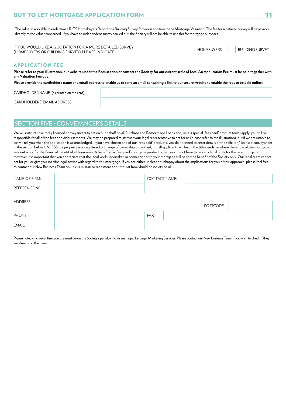## BUY TO LET MORTGAGE APPLICATION FORM 11 AND 2002 11 AM 2003 11

The valuer is also able to undertake a RICS Homebuyers Report or a Building Survey for you in addition to the Mortgage Valuation. The fee for a detailed survey will be payable directly to the valuer concerned. If you have an independent survey carried out, the Society will not be able to use this for mortgage purposes.

| IF YOU WOULD LIKE A QUOTATION FOR A MORE DETAILED SURVEY . | <b>HOMEBUYERS</b> | <b>BUILDING SURVEY</b> |
|------------------------------------------------------------|-------------------|------------------------|
| (HOMEBUYERS OR BUILDING SURVEY) PLEASE INDICATE:           |                   |                        |

|  | <b>HOMEBUYERS</b> | <b>BUILDING SURV</b> |
|--|-------------------|----------------------|
|  |                   |                      |

## APPLICATION FEE

**Please refer to your illustration, our website under the Fees section or contact the Society for our current scale of fees. An Application Fee must be paid together with any Valuation Fee due.**

**Please provide the cardholder's name and email address to enable us to send an email containing a link to our secure website to enable the fees to be paid online:**

CARDHOLDER NAME: (as printed on the card)

CARDHOLDERS' EMAIL ADDRESS:

## SECTION FIVE - CONVEYANCER'S DETAILS

We will instruct solicitors / licensed conveyancers to act on our behalf on all Purchase and Remortgage Loans and, unless special 'fees paid' product terms apply, you will be responsible for all of the fees and disbursements. We may be prepared to instruct your legal representative to act for us (please refer to the illustration), but if we are unable to, we will tell you when the application is acknowledged. If you have chosen one of our 'fees paid' products, you do not need to enter details of the solicitor / licensed conveyancer in the section below UNLESS the property is unregistered, a change of ownership is involved, not all applicants will be on the title deeds, or where the whole of the mortgage amount is not for the financial benefit of all borrowers. A benefit of a 'fees paid' mortgage product is that you do not have to pay any legal costs for the new mortgage. However, it is important that you appreciate that the legal work undertaken in connection with your mortgage will be for the benefit of the Society only. Our legal team cannot act for you or give you specific legal advice with regard to this mortgage. If you are either unclear or unhappy about the implications for you of this approach, please feel free to contact our New Business Team on 03330 140140 or read more about this at familybuildingsociety.co.uk

| NAME OF FIRM:        | <b>CONTACT NAME:</b> |           |  |
|----------------------|----------------------|-----------|--|
| <b>REFERENCE NO:</b> |                      |           |  |
| ADDRESS:             |                      | POSTCODE: |  |
| PHONE:               | FAX:                 |           |  |
| EMAIL:               |                      |           |  |

Please note, which ever firm you use must be on the Society's panel, which is managed by Legal Marketing Services. Please contact our New Business Team if you wish to check if they are already on the panel.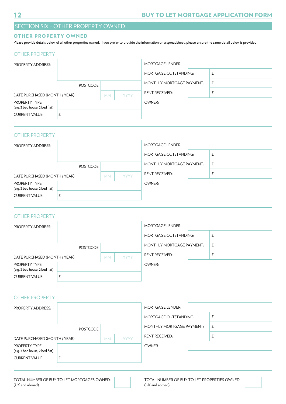## SECTION SIX - OTHER PROPERTY OWNED

## OTHER PROPERTY OWNED

Please provide details below of all other properties owned. If you prefer to provide the information on a spreadsheet, please ensure the same detail below is provided.

## OTHER PROPERTY

| <b>PROPERTY ADDRESS:</b>                                |           |           |             | <b>MORTGAGE LENDER:</b>      |   |
|---------------------------------------------------------|-----------|-----------|-------------|------------------------------|---|
|                                                         |           |           |             | <b>MORTGAGE OUTSTANDING:</b> |   |
|                                                         | POSTCODE: |           |             | MONTHLY MORTGAGE PAYMENT:    | £ |
| DATE PURCHASED (MONTH / YEAR)                           |           | <b>MM</b> | <b>YYYY</b> | <b>RENT RECEIVED:</b>        |   |
| <b>PROPERTY TYPE:</b><br>(e.g. 3 bed house, 2 bed flat) |           |           |             | OWNER:                       |   |
| <b>CURRENT VALUE:</b>                                   |           |           |             |                              |   |
|                                                         |           |           |             |                              |   |

## OTHER PROPERTY

| <b>PROPERTY ADDRESS:</b>                                |           |           |             | <b>MORTGAGE LENDER:</b>      |   |
|---------------------------------------------------------|-----------|-----------|-------------|------------------------------|---|
|                                                         |           |           |             | <b>MORTGAGE OUTSTANDING:</b> |   |
|                                                         | POSTCODE: |           |             | MONTHLY MORTGAGE PAYMENT:    | £ |
| DATE PURCHASED (MONTH / YEAR)                           |           | <b>MM</b> | <b>YYYY</b> | <b>RENT RECEIVED:</b>        |   |
| <b>PROPERTY TYPE:</b><br>(e.g. 3 bed house, 2 bed flat) |           |           |             | OWNER:                       |   |
| <b>CURRENT VALUE:</b>                                   |           |           |             |                              |   |

## OTHER PROPERTY

| <b>PROPERTY ADDRESS:</b>                                |           |           |             | <b>MORTGAGE LENDER:</b>   |   |
|---------------------------------------------------------|-----------|-----------|-------------|---------------------------|---|
|                                                         |           |           |             | MORTGAGE OUTSTANDING:     |   |
|                                                         | POSTCODE: |           |             | MONTHLY MORTGAGE PAYMENT: | £ |
| DATE PURCHASED (MONTH / YEAR)                           |           | <b>MM</b> | <b>YYYY</b> | <b>RENT RECEIVED:</b>     |   |
| <b>PROPERTY TYPE:</b><br>(e.g. 3 bed house, 2 bed flat) |           |           |             | OWNER:                    |   |
| <b>CURRENT VALUE:</b>                                   | £         |           |             |                           |   |

### OTHER PROPERTY

| <b>PROPERTY ADDRESS:</b>                                |           |           |             | <b>MORTGAGE LENDER:</b>      |   |
|---------------------------------------------------------|-----------|-----------|-------------|------------------------------|---|
|                                                         |           |           |             | <b>MORTGAGE OUTSTANDING:</b> |   |
|                                                         | POSTCODE: |           |             | MONTHLY MORTGAGE PAYMENT:    | £ |
| DATE PURCHASED (MONTH / YEAR)                           |           | <b>MM</b> | <b>YYYY</b> | <b>RENT RECEIVED:</b>        |   |
| <b>PROPERTY TYPE:</b><br>(e.g. 3 bed house, 2 bed flat) |           |           |             | OWNER:                       |   |
|                                                         |           |           |             |                              |   |
| <b>CURRENT VALUE:</b>                                   |           |           |             |                              |   |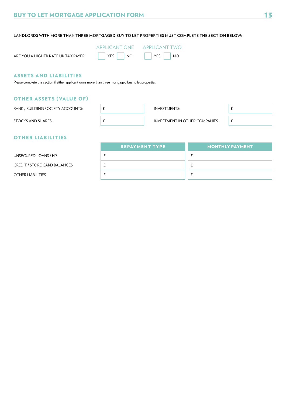**LANDLORDS WITH MORE THAN THREE MORTGAGED BUY TO LET PROPERTIES MUST COMPLETE THE SECTION BELOW:**

| <b>APPLICANT ONE</b> |  |
|----------------------|--|
|                      |  |

|  | ARE YOU A HIGHER RATE UK TAX PAYER: |
|--|-------------------------------------|
|  |                                     |

| - ~ | $\overline{a}$ |  |
|-----|----------------|--|

|            |  | LICANT ONE APPLICANT TWO |  |                              |  |  |
|------------|--|--------------------------|--|------------------------------|--|--|
| $YES$ $NO$ |  |                          |  | $\sqrt{ }$ YES $\sqrt{ }$ NO |  |  |

## ASSETS AND LIABILITIES

Please complete this section if either applicant owns more than three mortgaged buy to let properties.

## OTHER ASSETS (VALUE OF)

BANK / BUILDING SOCIETY ACCOUNTS:  $\left| \right|$   $\pm$ 

INVESTMENTS: £



STOCKS AND SHARES:

INVESTMENT IN OTHER COMPANIES:  $\boxed{f}$ 

## OTHER LIABILITIES

|                                      | <b>REPAYMENT TYPE</b> | <b>MONTHLY PAYMENT</b> |
|--------------------------------------|-----------------------|------------------------|
| UNSECURED LOANS / HP:                |                       |                        |
| <b>CREDIT / STORE CARD BALANCES:</b> |                       |                        |
| OTHER LIABILITIES:                   |                       |                        |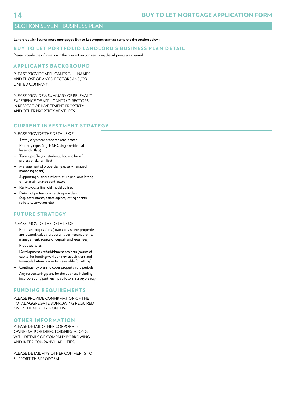## SECTION SEVEN - BUSINESS PLAN

#### **Landlords with four or more mortgaged Buy to Let properties must complete the section below:**

### BUY TO LET PORTFOLIO LANDLORD'S BUSINESS PLAN DETAIL

Please provide the information in the relevant sections ensuring that all points are covered.

## APPLICANTS BACKGROUND

PLEASE PROVIDE APPLICANTS FULL NAMES AND THOSE OF ANY DIRECTORS AND/OR LIMITED COMPANY:

PLEASE PROVIDE A SUMMARY OF RELEVANT EXPERIENCE OF APPLICANTS / DIRECTORS IN RESPECT OF INVESTMENT PROPERTY AND OTHER PROPERTY VENTURES:

## CURRENT INVESTMENT STRATEGY

PLEASE PROVIDE THE DETAILS OF:

- Town / city where properties are located
- Property types (e.g. HMO, single residential leasehold flats)
- Tenant profile (e.g. students, housing benefit, professionals, families)
- Management of properties (e.g. self-managed, managing agent)
- Supporting business infrastructure (e.g. own letting office, maintenance contractors)
- Rent-to-costs financial model utilised
- Details of professional service providers (e.g. accountants, estate agents, letting agents, solicitors, surveyors etc)

## FUTURE STRATEGY

#### PLEASE PROVIDE THE DETAILS OF:

- Proposed acquisitions (town / city where properties are located, values, property types, tenant profile, management, source of deposit and legal fees)
- Proposed sales
- Development / refurbishment projects (source of capital for funding works on new acquisitions and timescale before property is available for letting)
- Contingency plans to cover property void periods
- Any restructuring plans for the business including incorporation / partnership.solicitors, surveyors etc)

### FUNDING REQUIREMENTS

PLEASE PROVIDE CONFIRMATION OF THE TOTAL AGGREGATE BORROWING REQUIRED OVER THE NEXT 12 MONTHS:

#### OTHER INFORMATION

PLEASE DETAIL OTHER CORPORATE OWNERSHIP OR DIRECTORSHIPS, ALONG WITH DETAILS OF COMPANY BORROWING AND INTER COMPANY LIABILITIES:

PLEASE DETAIL ANY OTHER COMMENTS TO SUPPORT THIS PROPOSAL: